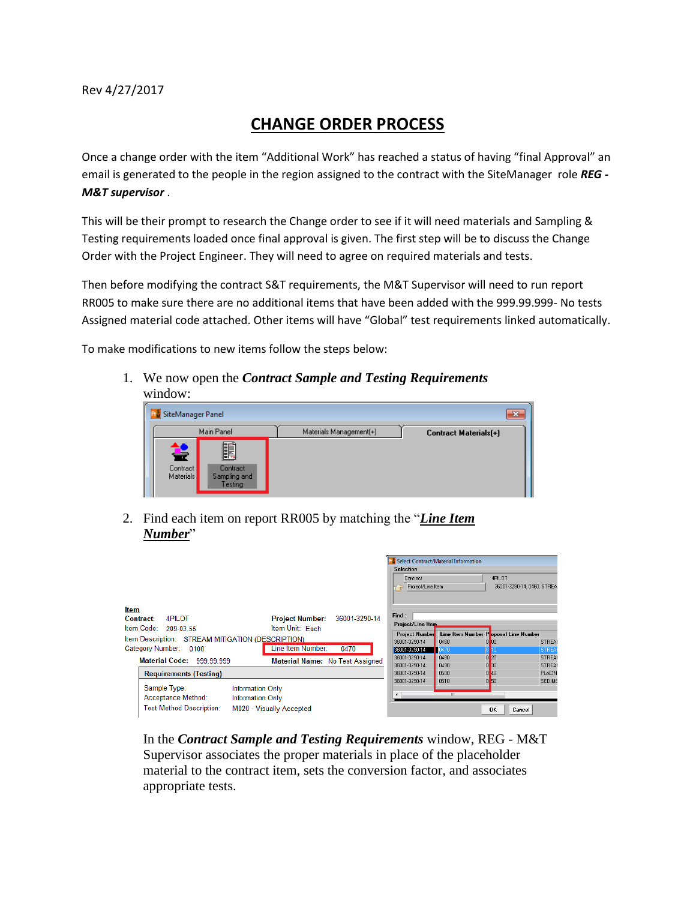## **CHANGE ORDER PROCESS**

Once a change order with the item "Additional Work" has reached a status of having "final Approval" an email is generated to the people in the region assigned to the contract with the SiteManager role *REG - M&T supervisor* .

This will be their prompt to research the Change order to see if it will need materials and Sampling & Testing requirements loaded once final approval is given. The first step will be to discuss the Change Order with the Project Engineer. They will need to agree on required materials and tests.

Then before modifying the contract S&T requirements, the M&T Supervisor will need to run report RR005 to make sure there are no additional items that have been added with the 999.99.999- No tests Assigned material code attached. Other items will have "Global" test requirements linked automatically.

To make modifications to new items follow the steps below:

1. We now open the *Contract Sample and Testing Requirements* window:

| SiteManager Panel          |                                           |                         | x                     |
|----------------------------|-------------------------------------------|-------------------------|-----------------------|
|                            | Main Panel                                | Materials Management(+) | Contract Materials(+) |
| ਵ<br>Contract<br>Materials | f.<br>Contract<br>Sampling and<br>Testing |                         |                       |

2. Find each item on report RR005 by matching the "*Line Item Number*"

|                                                                                                                                                                                                                            | <b>Selection</b><br>Contract<br>Project/Line Item                | Select Contract/Material Information | 4PILOT<br>36001-3290-14, 0460, STREA             |                                                   |
|----------------------------------------------------------------------------------------------------------------------------------------------------------------------------------------------------------------------------|------------------------------------------------------------------|--------------------------------------|--------------------------------------------------|---------------------------------------------------|
| <b>Item</b><br>Project Number: 36001-3290-14<br>4PII OT<br>Contract:<br>Item Unit: Each<br>Item Code: 209-03.55<br>Item Description: STREAM MITIGATION (DESCRIPTION)<br>Line Item Number:<br>Category Number: 0100<br>0470 | Find:<br>Project/Line Item<br>Project Number<br>36001-3290-14    | 0460                                 | Line Item Number Poposal Line Number<br>$0$ $00$ | STREAM                                            |
| <b>Material Code: 999.99.999</b><br>Material Name: No Test Assigned                                                                                                                                                        | 36001-3290-14<br>36001-3290-14<br>36001-3290-14<br>36001-3290-14 | 0470<br>0480<br>0490<br>0500         | 0 <sup>20</sup><br>0 <sup>30</sup><br>$0$ 40     | <b>STREA</b><br>STREAM<br>STREAT<br><b>PLACIN</b> |
| <b>Requirements (Testing)</b><br>Sample Type:<br><b>Information Only</b><br>Acceptance Method:<br><b>Information Only</b><br><b>Test Method Description:</b><br>M020 - Visually Accepted                                   | 36001-3290-14                                                    | 0510<br>m                            | 0 <sub>50</sub><br><b>OK</b><br>Cancel           | <b>SEDIME</b>                                     |

In the *Contract Sample and Testing Requirements* window, REG - M&T Supervisor associates the proper materials in place of the placeholder material to the contract item, sets the conversion factor, and associates appropriate tests.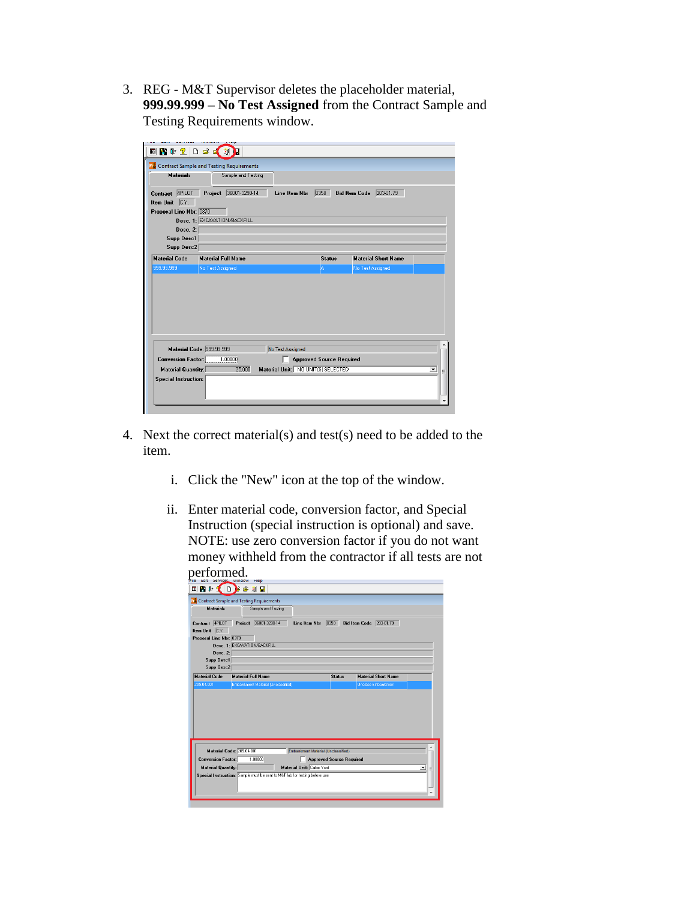3. REG - M&T Supervisor deletes the placeholder material, **999.99.999 – No Test Assigned** from the Contract Sample and Testing Requirements window.

|                                                        | 国内中立口声区划                                          |                  |                                    |                      |                            |   |
|--------------------------------------------------------|---------------------------------------------------|------------------|------------------------------------|----------------------|----------------------------|---|
|                                                        | <b>R</b> Contract Sample and Testing Requirements |                  |                                    |                      |                            |   |
| <b>Materials</b>                                       | Sample and Testing                                |                  |                                    |                      |                            |   |
| 4PILOT<br>Contract                                     | Project 36001-3290-14                             | Line Item Nbr    | 0350                               | <b>Bid Item Code</b> | 203-01.79                  |   |
| C.Y.<br><b>Item Unit</b>                               |                                                   |                  |                                    |                      |                            |   |
| Proposal Line Nbr: 0370                                |                                                   |                  |                                    |                      |                            |   |
|                                                        | Desc. 1: EXCAVATION/BACKFILL                      |                  |                                    |                      |                            |   |
| Desc. 2:                                               |                                                   |                  |                                    |                      |                            |   |
| <b>Supp Desc1</b>                                      |                                                   |                  |                                    |                      |                            |   |
| <b>Supp Desc2</b>                                      |                                                   |                  |                                    |                      |                            |   |
| <b>Material Code</b>                                   | <b>Material Full Name</b>                         |                  |                                    |                      | <b>Material Short Name</b> |   |
|                                                        |                                                   |                  | <b>Status</b>                      |                      |                            |   |
| 999.99.999                                             | No Test Assigned                                  |                  | A.                                 | No Test Assigned     |                            |   |
| Material Code: 999.99.999<br><b>Conversion Factor:</b> | 1,00000                                           | No Test Assigned | <b>Approved Source Required</b>    |                      |                            |   |
| <b>Material Quantity:</b>                              | 25,000                                            |                  | Material Unit: NO UNIT(S) SELECTED |                      |                            | ▼ |

- 4. Next the correct material(s) and test(s) need to be added to the item.
	- i. Click the "New" icon at the top of the window.
	- ii. Enter material code, conversion factor, and Special Instruction (special instruction is optional) and save. NOTE: use zero conversion factor if you do not want money withheld from the contractor if all tests are not performed.

| <b>Materials</b>                                | Sample and Testing                 | <b>P.</b> Contract Sample and Testing Requirements |                                 |                            |        |
|-------------------------------------------------|------------------------------------|----------------------------------------------------|---------------------------------|----------------------------|--------|
| 4PILOT<br>Contract                              | Project 36001-3290-14              | <b>Line Item Nbr</b>                               | 0350                            | Bid Item Code 203-01.79    |        |
| C.Y.<br><b>Item Unit</b>                        |                                    |                                                    |                                 |                            |        |
| Proposal Line Nbr: 0370                         |                                    |                                                    |                                 |                            |        |
|                                                 | Desc. 1: EXCAVATION/BACKFILL       |                                                    |                                 |                            |        |
| Desc. 2:                                        |                                    |                                                    |                                 |                            |        |
| Supp Desc1                                      |                                    |                                                    |                                 |                            |        |
| Supp Desc2                                      |                                    |                                                    |                                 |                            |        |
|                                                 |                                    |                                                    |                                 |                            |        |
|                                                 | <b>Material Full Name</b>          |                                                    | <b>Status</b>                   | <b>Material Short Name</b> |        |
| <b>Material Code</b><br>205.04.001              | Embankment Material (Unclassified) |                                                    |                                 | Unclass Embankment         |        |
| Material Code: 205.04.001                       |                                    | Embankment Material (Unclassified)                 |                                 |                            |        |
| <b>Conversion Factor:</b><br>Material Quantity: | 1.00000                            | Material Unit: Cubic Yard                          | <b>Approved Source Required</b> |                            | ۰<br>Ξ |